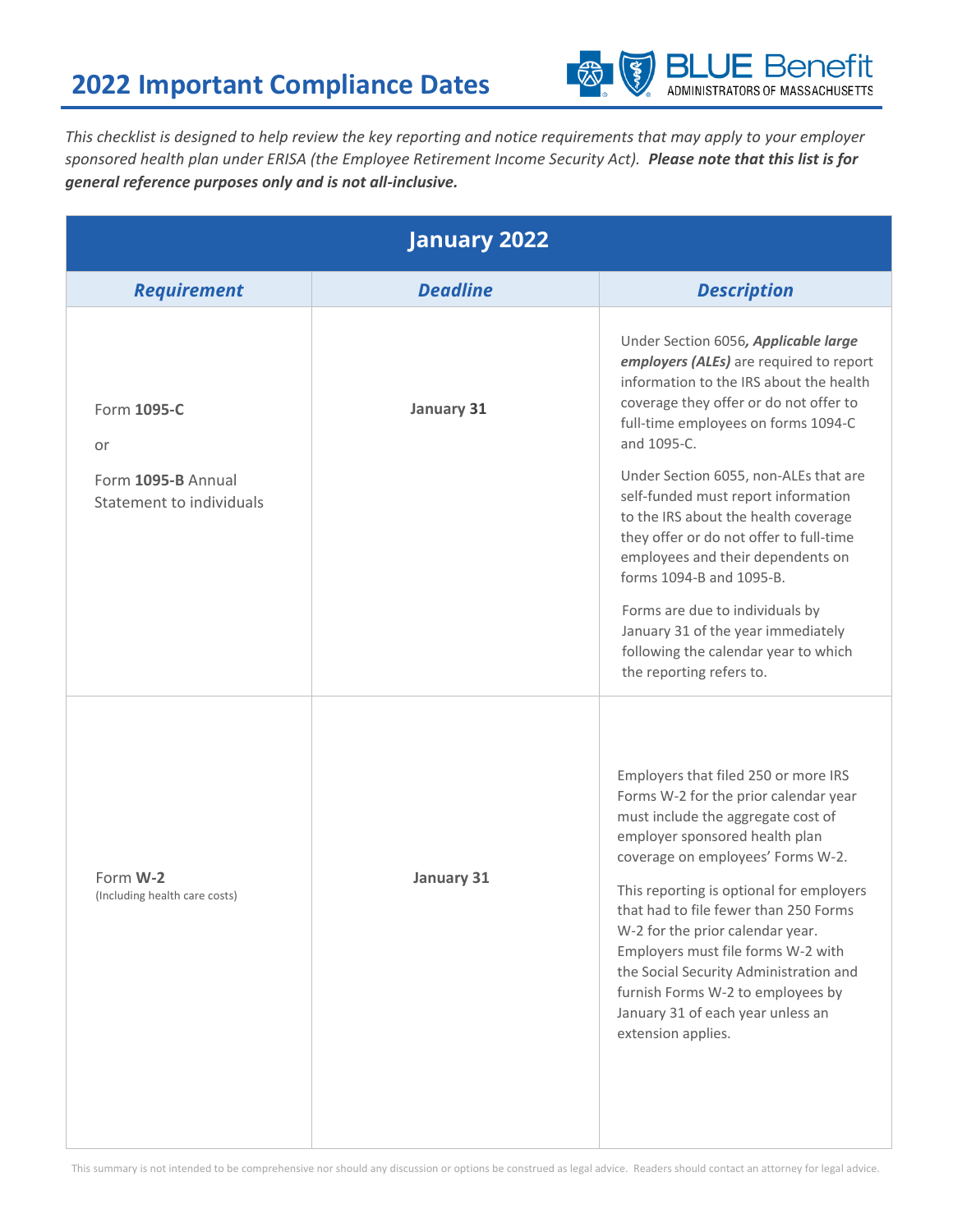

*This checklist is designed to help review the key reporting and notice requirements that may apply to your employer sponsored health plan under ERISA (the Employee Retirement Income Security Act). Please note that this list is for general reference purposes only and is not all-inclusive.*

| <b>January 2022</b>                            |                 |                                                                                                                                                                                                                                                                                                                                                                                                                                                                                                     |
|------------------------------------------------|-----------------|-----------------------------------------------------------------------------------------------------------------------------------------------------------------------------------------------------------------------------------------------------------------------------------------------------------------------------------------------------------------------------------------------------------------------------------------------------------------------------------------------------|
| <b>Requirement</b>                             | <b>Deadline</b> | <b>Description</b>                                                                                                                                                                                                                                                                                                                                                                                                                                                                                  |
| Form 1095-C<br>or                              | January 31      | Under Section 6056, Applicable large<br>employers (ALEs) are required to report<br>information to the IRS about the health<br>coverage they offer or do not offer to<br>full-time employees on forms 1094-C<br>and 1095-C.                                                                                                                                                                                                                                                                          |
| Form 1095-B Annual<br>Statement to individuals |                 | Under Section 6055, non-ALEs that are<br>self-funded must report information<br>to the IRS about the health coverage<br>they offer or do not offer to full-time<br>employees and their dependents on<br>forms 1094-B and 1095-B.                                                                                                                                                                                                                                                                    |
|                                                |                 | Forms are due to individuals by<br>January 31 of the year immediately<br>following the calendar year to which<br>the reporting refers to.                                                                                                                                                                                                                                                                                                                                                           |
| Form W-2<br>(Including health care costs)      | January 31      | Employers that filed 250 or more IRS<br>Forms W-2 for the prior calendar year<br>must include the aggregate cost of<br>employer sponsored health plan<br>coverage on employees' Forms W-2.<br>This reporting is optional for employers<br>that had to file fewer than 250 Forms<br>W-2 for the prior calendar year.<br>Employers must file forms W-2 with<br>the Social Security Administration and<br>furnish Forms W-2 to employees by<br>January 31 of each year unless an<br>extension applies. |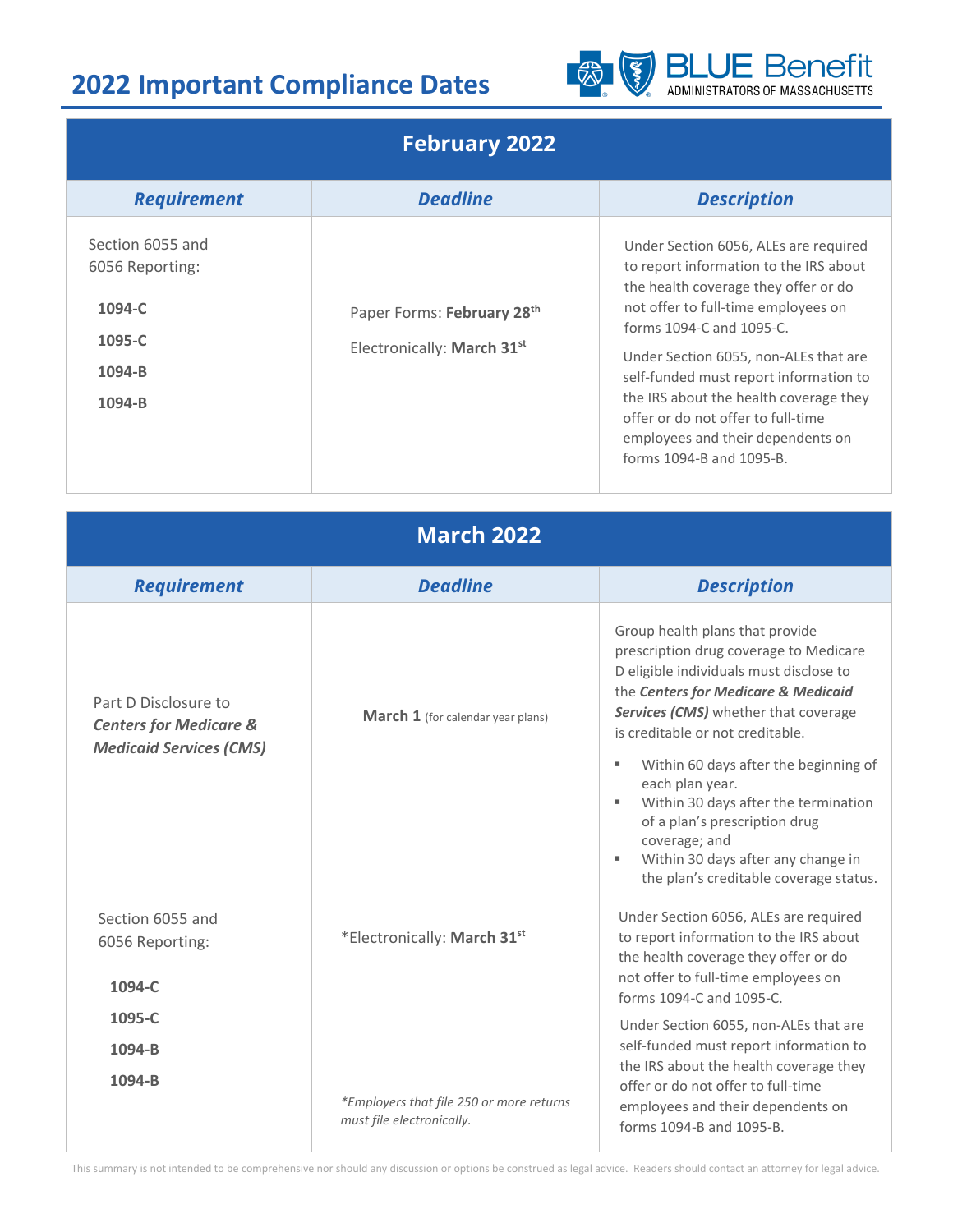

#### **February 2022**

| <b>Requirement</b>                                                              | <b>Deadline</b>                                          | <b>Description</b>                                                                                                                                                                                                                                                                                                                                                                                                             |
|---------------------------------------------------------------------------------|----------------------------------------------------------|--------------------------------------------------------------------------------------------------------------------------------------------------------------------------------------------------------------------------------------------------------------------------------------------------------------------------------------------------------------------------------------------------------------------------------|
| Section 6055 and<br>6056 Reporting:<br>$1094 - C$<br>1095-C<br>1094-B<br>1094-B | Paper Forms: February 28th<br>Electronically: March 31st | Under Section 6056, ALEs are required<br>to report information to the IRS about<br>the health coverage they offer or do<br>not offer to full-time employees on<br>forms 1094-C and 1095-C.<br>Under Section 6055, non-ALEs that are<br>self-funded must report information to<br>the IRS about the health coverage they<br>offer or do not offer to full-time<br>employees and their dependents on<br>forms 1094-B and 1095-B. |

| <b>March 2022</b>                                                                           |                                                                       |                                                                                                                                                                                                                                                                                                                                                                                                                                                                                              |  |  |
|---------------------------------------------------------------------------------------------|-----------------------------------------------------------------------|----------------------------------------------------------------------------------------------------------------------------------------------------------------------------------------------------------------------------------------------------------------------------------------------------------------------------------------------------------------------------------------------------------------------------------------------------------------------------------------------|--|--|
| <b>Requirement</b>                                                                          | <b>Deadline</b>                                                       | <b>Description</b>                                                                                                                                                                                                                                                                                                                                                                                                                                                                           |  |  |
| Part D Disclosure to<br><b>Centers for Medicare &amp;</b><br><b>Medicaid Services (CMS)</b> | <b>March 1</b> (for calendar year plans)                              | Group health plans that provide<br>prescription drug coverage to Medicare<br>D eligible individuals must disclose to<br>the Centers for Medicare & Medicaid<br>Services (CMS) whether that coverage<br>is creditable or not creditable.<br>Within 60 days after the beginning of<br>٠<br>each plan year.<br>Within 30 days after the termination<br>٠<br>of a plan's prescription drug<br>coverage; and<br>Within 30 days after any change in<br>٠<br>the plan's creditable coverage status. |  |  |
| Section 6055 and<br>6056 Reporting:<br>1094-C                                               | *Electronically: March 31st                                           | Under Section 6056, ALEs are required<br>to report information to the IRS about<br>the health coverage they offer or do<br>not offer to full-time employees on<br>forms 1094-C and 1095-C.                                                                                                                                                                                                                                                                                                   |  |  |
| 1095-C<br>1094-B<br>1094-B                                                                  | *Employers that file 250 or more returns<br>must file electronically. | Under Section 6055, non-ALEs that are<br>self-funded must report information to<br>the IRS about the health coverage they<br>offer or do not offer to full-time<br>employees and their dependents on<br>forms 1094-B and 1095-B.                                                                                                                                                                                                                                                             |  |  |

This summary is not intended to be comprehensive nor should any discussion or options be construed as legal advice. Readers should contact an attorney for legal advice.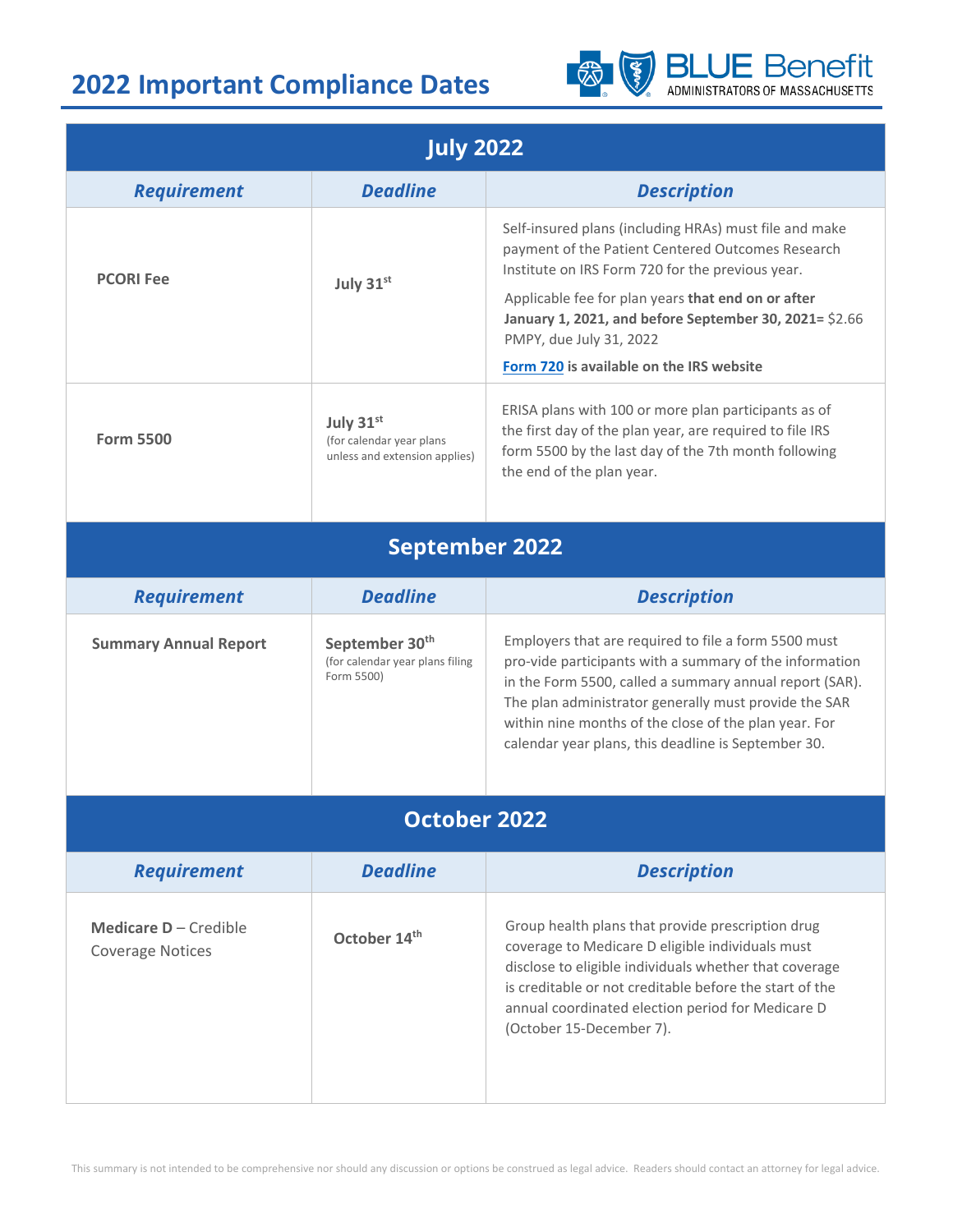

| <b>July 2022</b>                                 |                                                                             |                                                                                                                                                                                                                                                                                                                                                     |  |  |
|--------------------------------------------------|-----------------------------------------------------------------------------|-----------------------------------------------------------------------------------------------------------------------------------------------------------------------------------------------------------------------------------------------------------------------------------------------------------------------------------------------------|--|--|
| <b>Requirement</b>                               | <b>Deadline</b>                                                             | <b>Description</b>                                                                                                                                                                                                                                                                                                                                  |  |  |
| <b>PCORI Fee</b>                                 | July 31st                                                                   | Self-insured plans (including HRAs) must file and make<br>payment of the Patient Centered Outcomes Research<br>Institute on IRS Form 720 for the previous year.<br>Applicable fee for plan years that end on or after<br>January 1, 2021, and before September 30, 2021= \$2.66                                                                     |  |  |
|                                                  |                                                                             | PMPY, due July 31, 2022<br>Form 720 is available on the IRS website                                                                                                                                                                                                                                                                                 |  |  |
| <b>Form 5500</b>                                 | July 31st<br>(for calendar year plans<br>unless and extension applies)      | ERISA plans with 100 or more plan participants as of<br>the first day of the plan year, are required to file IRS<br>form 5500 by the last day of the 7th month following<br>the end of the plan year.                                                                                                                                               |  |  |
| <b>September 2022</b>                            |                                                                             |                                                                                                                                                                                                                                                                                                                                                     |  |  |
| <b>Requirement</b>                               | <b>Deadline</b>                                                             | <b>Description</b>                                                                                                                                                                                                                                                                                                                                  |  |  |
| <b>Summary Annual Report</b>                     | September 30 <sup>th</sup><br>(for calendar year plans filing<br>Form 5500) | Employers that are required to file a form 5500 must<br>pro-vide participants with a summary of the information<br>in the Form 5500, called a summary annual report (SAR).<br>The plan administrator generally must provide the SAR<br>within nine months of the close of the plan year. For<br>calendar year plans, this deadline is September 30. |  |  |
| <b>October 2022</b>                              |                                                                             |                                                                                                                                                                                                                                                                                                                                                     |  |  |
| <b>Requirement</b>                               | <b>Deadline</b>                                                             | <b>Description</b>                                                                                                                                                                                                                                                                                                                                  |  |  |
| Medicare D - Credible<br><b>Coverage Notices</b> | October 14th                                                                | Group health plans that provide prescription drug<br>coverage to Medicare D eligible individuals must<br>disclose to eligible individuals whether that coverage<br>is creditable or not creditable before the start of the<br>annual coordinated election period for Medicare D<br>(October 15-December 7).                                         |  |  |